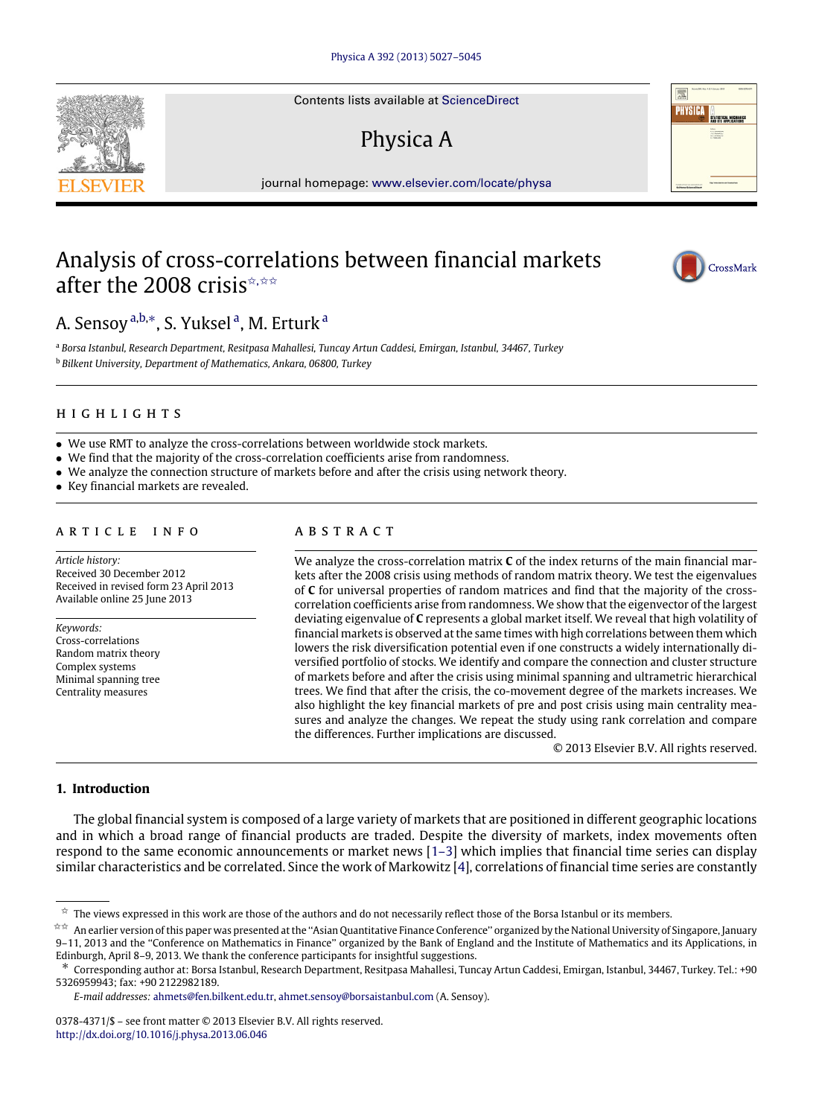Contents lists available at [ScienceDirect](http://www.elsevier.com/locate/physa)

# Physica A

journal homepage: [www.elsevier.com/locate/physa](http://www.elsevier.com/locate/physa)

## Analysis of cross-correlations between financial markets after the 2008 crisis  $\hat{z}$ ,  $\hat{z} \times \hat{z}$



<span id="page-0-3"></span><span id="page-0-2"></span><sup>a</sup> *Borsa Istanbul, Research Department, Resitpasa Mahallesi, Tuncay Artun Caddesi, Emirgan, Istanbul, 34467, Turkey* <sup>b</sup> *Bilkent University, Department of Mathematics, Ankara, 06800, Turkey*

### h i g h l i g h t s

- We use RMT to analyze the cross-correlations between worldwide stock markets.
- We find that the majority of the cross-correlation coefficients arise from randomness.
- We analyze the connection structure of markets before and after the crisis using network theory.
- Key financial markets are revealed.

#### a r t i c l e i n f o

*Article history:* Received 30 December 2012 Received in revised form 23 April 2013 Available online 25 June 2013

*Keywords:* Cross-correlations Random matrix theory Complex systems Minimal spanning tree Centrality measures

### A B S T R A C T

We analyze the cross-correlation matrix **C** of the index returns of the main financial markets after the 2008 crisis using methods of random matrix theory. We test the eigenvalues of **C** for universal properties of random matrices and find that the majority of the crosscorrelation coefficients arise from randomness. We show that the eigenvector of the largest deviating eigenvalue of **C** represents a global market itself. We reveal that high volatility of financial markets is observed at the same times with high correlations between them which lowers the risk diversification potential even if one constructs a widely internationally diversified portfolio of stocks. We identify and compare the connection and cluster structure of markets before and after the crisis using minimal spanning and ultrametric hierarchical trees. We find that after the crisis, the co-movement degree of the markets increases. We also highlight the key financial markets of pre and post crisis using main centrality measures and analyze the changes. We repeat the study using rank correlation and compare the differences. Further implications are discussed.

© 2013 Elsevier B.V. All rights reserved.

#### **1. Introduction**

The global financial system is composed of a large variety of markets that are positioned in different geographic locations and in which a broad range of financial products are traded. Despite the diversity of markets, index movements often respond to the same economic announcements or market news [\[1–3\]](#page--1-0) which implies that financial time series can display similar characteristics and be correlated. Since the work of Markowitz [\[4\]](#page--1-1), correlations of financial time series are constantly







<span id="page-0-0"></span> $\hat{z}$  The views expressed in this work are those of the authors and do not necessarily reflect those of the Borsa Istanbul or its members.

<span id="page-0-1"></span><sup>✩✩</sup> An earlier version of this paper was presented at the ''Asian Quantitative Finance Conference'' organized by the National University of Singapore, January 9–11, 2013 and the ''Conference on Mathematics in Finance'' organized by the Bank of England and the Institute of Mathematics and its Applications, in Edinburgh, April 8–9, 2013. We thank the conference participants for insightful suggestions.

<span id="page-0-4"></span><sup>∗</sup> Corresponding author at: Borsa Istanbul, Research Department, Resitpasa Mahallesi, Tuncay Artun Caddesi, Emirgan, Istanbul, 34467, Turkey. Tel.: +90 5326959943; fax: +90 2122982189.

*E-mail addresses:* [ahmets@fen.bilkent.edu.tr,](mailto:ahmets@fen.bilkent.edu.tr) [ahmet.sensoy@borsaistanbul.com](mailto:ahmet.sensoy@borsaistanbul.com) (A. Sensoy).

<sup>0378-4371/\$ –</sup> see front matter © 2013 Elsevier B.V. All rights reserved. <http://dx.doi.org/10.1016/j.physa.2013.06.046>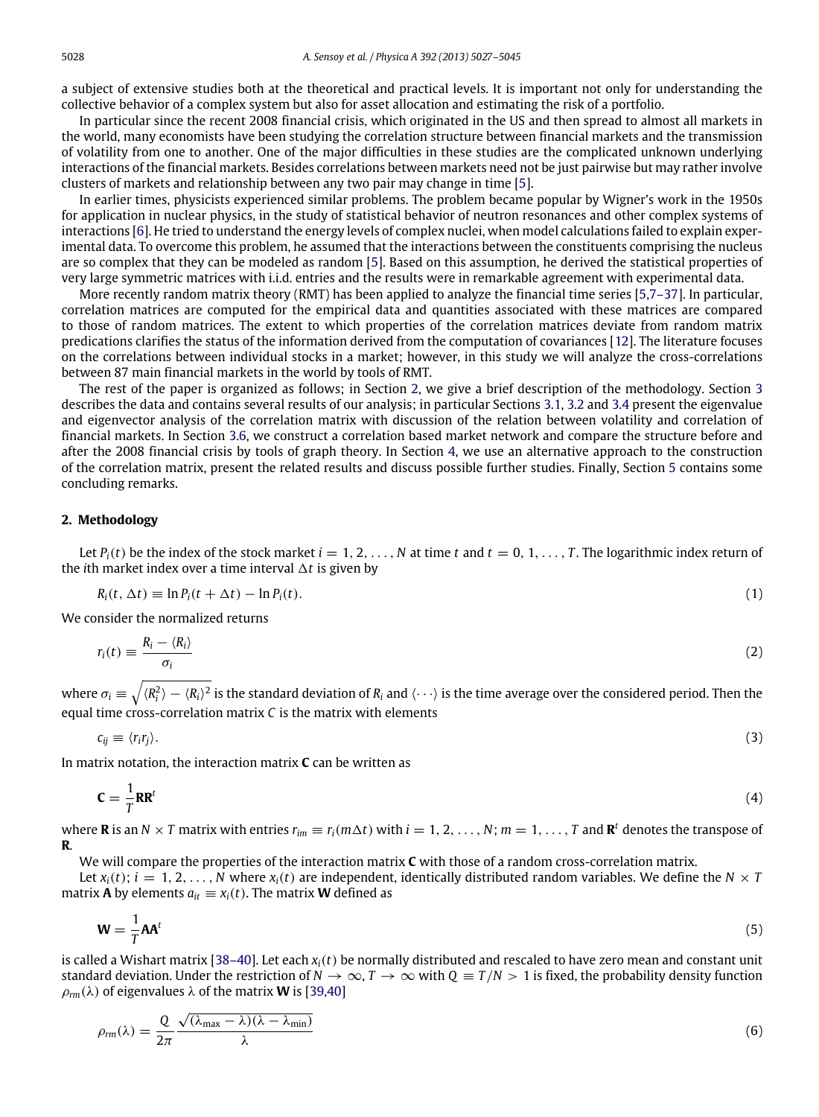a subject of extensive studies both at the theoretical and practical levels. It is important not only for understanding the collective behavior of a complex system but also for asset allocation and estimating the risk of a portfolio.

In particular since the recent 2008 financial crisis, which originated in the US and then spread to almost all markets in the world, many economists have been studying the correlation structure between financial markets and the transmission of volatility from one to another. One of the major difficulties in these studies are the complicated unknown underlying interactions of the financial markets. Besides correlations between markets need not be just pairwise but may rather involve clusters of markets and relationship between any two pair may change in time [\[5\]](#page--1-2).

In earlier times, physicists experienced similar problems. The problem became popular by Wigner's work in the 1950s for application in nuclear physics, in the study of statistical behavior of neutron resonances and other complex systems of interactions [\[6\]](#page--1-3). He tried to understand the energy levels of complex nuclei, when model calculations failed to explain experimental data. To overcome this problem, he assumed that the interactions between the constituents comprising the nucleus are so complex that they can be modeled as random [\[5\]](#page--1-2). Based on this assumption, he derived the statistical properties of very large symmetric matrices with i.i.d. entries and the results were in remarkable agreement with experimental data.

More recently random matrix theory (RMT) has been applied to analyze the financial time series [\[5,](#page--1-2)[7–37\]](#page--1-4). In particular, correlation matrices are computed for the empirical data and quantities associated with these matrices are compared to those of random matrices. The extent to which properties of the correlation matrices deviate from random matrix predications clarifies the status of the information derived from the computation of covariances [\[12\]](#page--1-5). The literature focuses on the correlations between individual stocks in a market; however, in this study we will analyze the cross-correlations between 87 main financial markets in the world by tools of RMT.

The rest of the paper is organized as follows; in Section [2,](#page-1-0) we give a brief description of the methodology. Section [3](#page--1-6) describes the data and contains several results of our analysis; in particular Sections [3.1,](#page--1-7) [3.2](#page--1-8) and [3.4](#page--1-9) present the eigenvalue and eigenvector analysis of the correlation matrix with discussion of the relation between volatility and correlation of financial markets. In Section [3.6,](#page--1-10) we construct a correlation based market network and compare the structure before and after the 2008 financial crisis by tools of graph theory. In Section [4,](#page--1-11) we use an alternative approach to the construction of the correlation matrix, present the related results and discuss possible further studies. Finally, Section [5](#page--1-12) contains some concluding remarks.

#### <span id="page-1-0"></span>**2. Methodology**

Let  $P_i(t)$  be the index of the stock market  $i = 1, 2, ..., N$  at time  $t$  and  $t = 0, 1, ..., T$ . The logarithmic index return of the *i*th market index over a time interval  $\Delta t$  is given by

$$
R_i(t, \Delta t) \equiv \ln P_i(t + \Delta t) - \ln P_i(t). \tag{1}
$$

We consider the normalized returns

$$
r_i(t) \equiv \frac{R_i - \langle R_i \rangle}{\sigma_i} \tag{2}
$$

where  $\sigma_i\equiv\sqrt{\langle R_i^2\rangle-\langle R_i\rangle^2}$  is the standard deviation of  $R_i$  and  $\langle\cdots\rangle$  is the time average over the considered period. Then the equal time cross-correlation matrix *C* is the matrix with elements

$$
c_{ij} \equiv \langle r_i r_j \rangle. \tag{3}
$$

In matrix notation, the interaction matrix **C** can be written as

$$
\mathbf{C} = \frac{1}{T} \mathbf{R} \mathbf{R}^t \tag{4}
$$

where **R** is an  $N \times T$  matrix with entries  $r_{im} \equiv r_i(m\Delta t)$  with  $i = 1, 2, ..., N$ ;  $m = 1, ..., T$  and  $\mathbb{R}^t$  denotes the transpose of **R**.

We will compare the properties of the interaction matrix **C** with those of a random cross-correlation matrix.

Let  $x_i(t)$ ;  $i = 1, 2, ..., N$  where  $x_i(t)$  are independent, identically distributed random variables. We define the  $N \times T$ matrix **A** by elements  $a_{it} \equiv x_i(t)$ . The matrix **W** defined as

$$
\mathbf{W} = \frac{1}{T} \mathbf{A} \mathbf{A}^t \tag{5}
$$

is called a Wishart matrix [\[38–40\]](#page--1-13). Let each *xi*(*t*) be normally distributed and rescaled to have zero mean and constant unit standard deviation. Under the restriction of  $N \to \infty$ ,  $T \to \infty$  with  $Q \equiv T/N > 1$  is fixed, the probability density function  $\rho_{rm}(\lambda)$  of eigenvalues  $\lambda$  of the matrix **W** is [\[39,](#page--1-14)[40\]](#page--1-15)

$$
\rho_{rm}(\lambda) = \frac{Q}{2\pi} \frac{\sqrt{(\lambda_{\text{max}} - \lambda)(\lambda - \lambda_{\text{min}})}}{\lambda} \tag{6}
$$